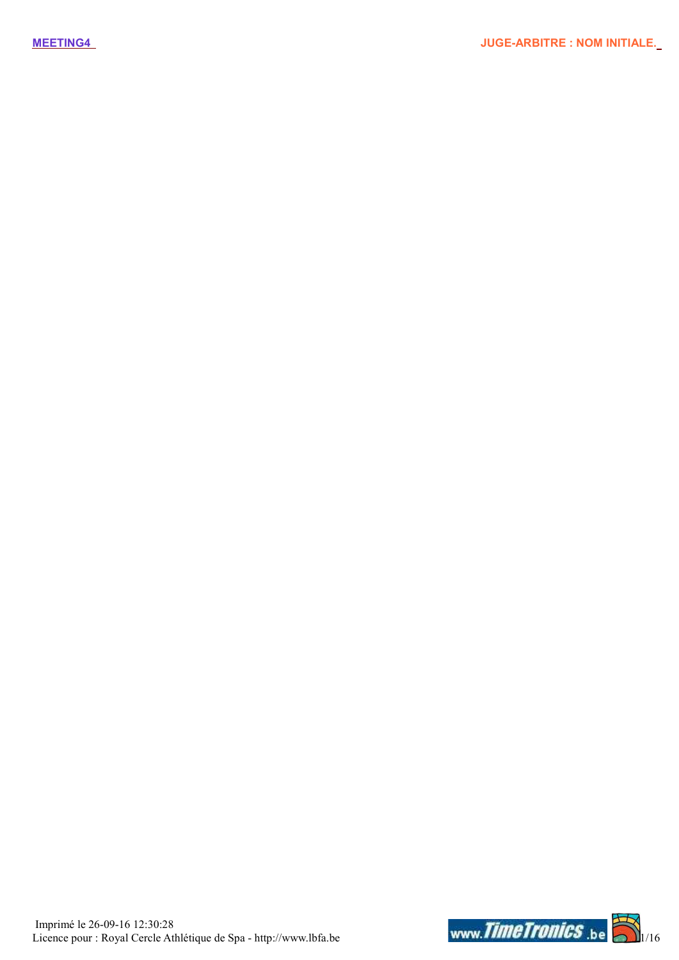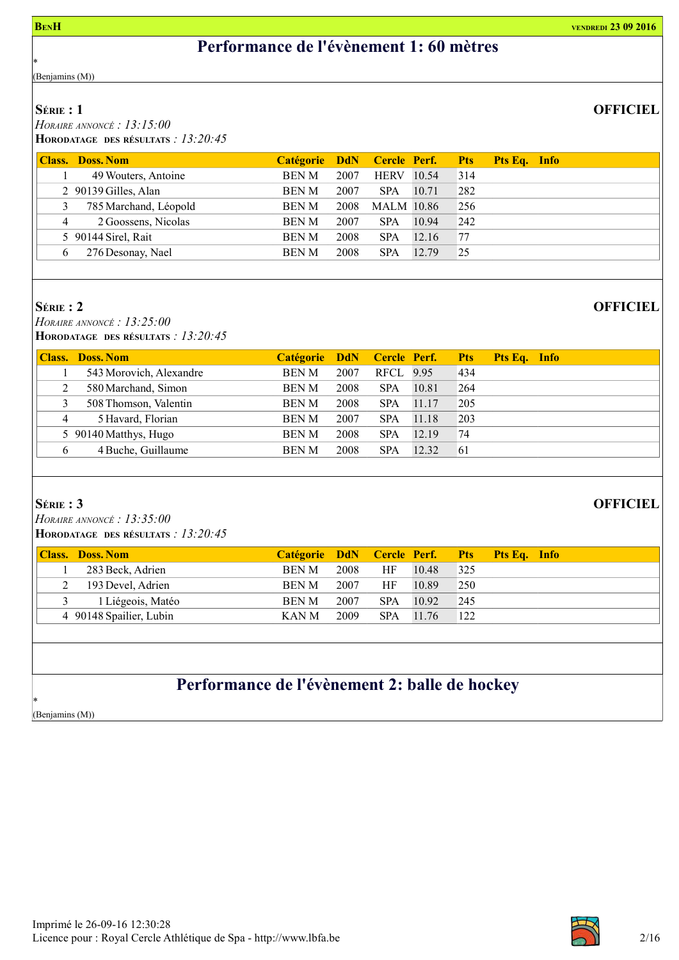**OFFICIEL** 

**OFFICIEL** 

**OFFICIEL** 

# Performance de l'évènement 1:60 mètres

(Benjamins (M))

### SÉRIE : 1

HORAIRE ANNONCÉ :  $13:15:00$ HORODATAGE DES RÉSULTATS : 13:20:45

|              | <b>Class. Doss. Nom</b> | Catégorie DdN Cercle Perf. Pts |      |                   |       |     | Pts Eq. Info |  |
|--------------|-------------------------|--------------------------------|------|-------------------|-------|-----|--------------|--|
|              | 49 Wouters, Antoine     | <b>BEN M</b>                   | 2007 | <b>HERV</b> 10.54 |       | 314 |              |  |
|              | 2 90139 Gilles, Alan    | <b>BEN M</b>                   | 2007 | <b>SPA</b>        | 10.71 | 282 |              |  |
|              | 785 Marchand, Léopold   | <b>BEN M</b>                   | 2008 | <b>MALM</b> 10.86 |       | 256 |              |  |
| 4            | 2 Goossens, Nicolas     | <b>BEN M</b>                   | 2007 | <b>SPA</b>        | 10.94 | 242 |              |  |
|              | 5 90144 Sirel, Rait     | <b>BEN M</b>                   | 2008 | <b>SPA</b>        | 12.16 | 77  |              |  |
| <sub>b</sub> | 276 Desonay, Nael       | <b>BEN M</b>                   | 2008 | <b>SPA</b>        | 12.79 | 25  |              |  |
|              |                         |                                |      |                   |       |     |              |  |

### SÉRIE: 2

HORAIRE ANNONCÉ : 13:25:00 HORODATAGE DES RÉSULTATS : 13:20:45

|   | <b>Class. Doss. Nom</b> | Catégorie DdN Cercle Perf. Pts |      |            |       |     | <b>Pts Eq.</b> Info |
|---|-------------------------|--------------------------------|------|------------|-------|-----|---------------------|
|   | 543 Morovich, Alexandre | <b>BEN M</b>                   | 2007 | RFCL 9.95  |       | 434 |                     |
| 2 | 580 Marchand, Simon     | <b>BEN M</b>                   | 2008 | <b>SPA</b> | 10.81 | 264 |                     |
|   | 508 Thomson, Valentin   | <b>BEN M</b>                   | 2008 | <b>SPA</b> | 11.17 | 205 |                     |
| 4 | 5 Havard, Florian       | <b>BEN M</b>                   | 2007 | <b>SPA</b> | 11.18 | 203 |                     |
|   | 5 90140 Matthys, Hugo   | <b>BEN M</b>                   | 2008 | <b>SPA</b> | 12.19 | 74  |                     |
| 6 | 4 Buche, Guillaume      | <b>BEN M</b>                   | 2008 | <b>SPA</b> | 12.32 | 61  |                     |

## SÉRIE: 3

HORAIRE ANNONCÉ : 13:35:00 HORODATAGE DES RÉSULTATS : 13:20:45

| <b>Class. Doss. Nom</b> | Catégorie DdN Cercle Perf. Pts Pts Eq. Info |      |           |           |     |  |
|-------------------------|---------------------------------------------|------|-----------|-----------|-----|--|
| 283 Beck, Adrien        | <b>BEN M</b>                                | 2008 | HF.       | 10.48     | 325 |  |
| 2 193 Devel, Adrien     | <b>BEN M</b>                                | 2007 |           | HF 10.89  | 250 |  |
| 3 1 Liégeois, Matéo     | <b>BEN M</b>                                | 2007 | SPA 10.92 |           | 245 |  |
| 4 90148 Spailier, Lubin | KAN M                                       | 2009 |           | SPA 11.76 | 122 |  |

# Performance de l'évènement 2: balle de hockey

(Benjamins (M))

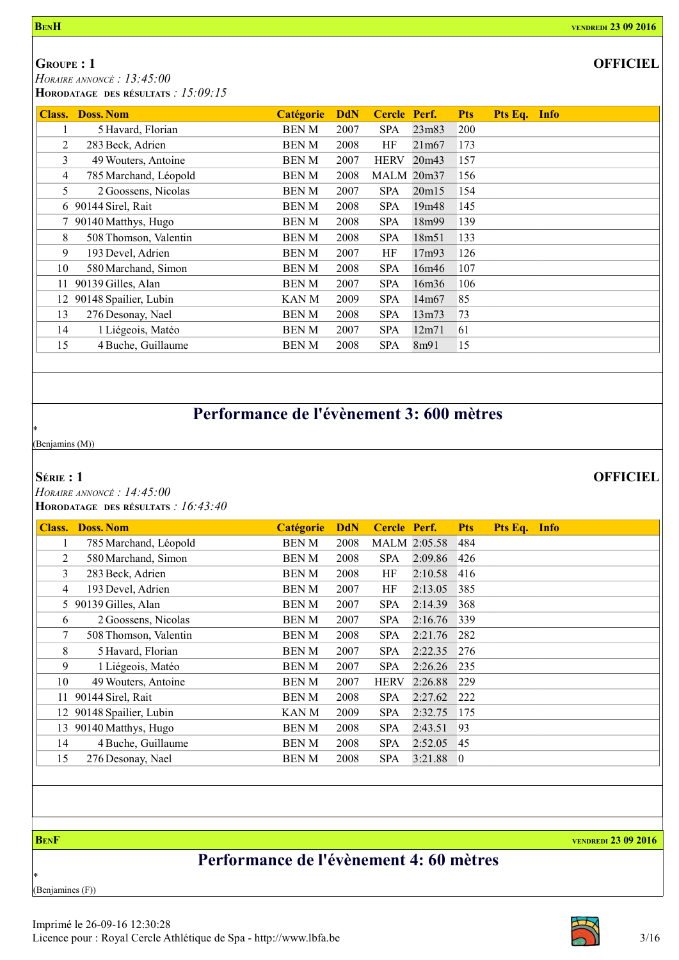#### **BENH**

**OFFICIEL** 

### **GROUPE: 1**

HORAIRE ANNONCÉ : 13:45:00 HORODATAGE DES RÉSULTATS : 15:09:15

|                | <b>Class. Doss. Nom</b>  | <b>Catégorie</b> | <b>DdN</b> | <b>Cercle Perf.</b> |       | <b>Pts</b> | Pts Eq. Info |  |
|----------------|--------------------------|------------------|------------|---------------------|-------|------------|--------------|--|
|                | 5 Havard, Florian        | <b>BENM</b>      | 2007       | <b>SPA</b>          | 23m83 | <b>200</b> |              |  |
| 2              | 283 Beck, Adrien         | <b>BEN M</b>     | 2008       | HF                  | 21m67 | 173        |              |  |
| 3              | 49 Wouters, Antoine      | <b>BENM</b>      | 2007       | <b>HERV</b>         | 20m43 | 157        |              |  |
| 4              | 785 Marchand, Léopold    | <b>BEN M</b>     | 2008       | <b>MALM 20m37</b>   |       | 156        |              |  |
| 5 <sup>1</sup> | 2 Goossens, Nicolas      | <b>BEN M</b>     | 2007       | <b>SPA</b>          | 20m15 | 154        |              |  |
|                | 6 90144 Sirel, Rait      | <b>BENM</b>      | 2008       | <b>SPA</b>          | 19m48 | 145        |              |  |
|                | 7 90140 Matthys, Hugo    | <b>BEN M</b>     | 2008       | <b>SPA</b>          | 18m99 | 139        |              |  |
| 8              | 508 Thomson, Valentin    | <b>BEN M</b>     | 2008       | <b>SPA</b>          | 18m51 | 133        |              |  |
| 9              | 193 Devel, Adrien        | <b>BENM</b>      | 2007       | HF                  | 17m93 | 126        |              |  |
| 10             | 580 Marchand, Simon      | <b>BEN M</b>     | 2008       | <b>SPA</b>          | 16m46 | 107        |              |  |
| 11             | 90139 Gilles, Alan       | <b>BENM</b>      | 2007       | <b>SPA</b>          | 16m36 | 106        |              |  |
|                | 12 90148 Spailier, Lubin | KAN M            | 2009       | <b>SPA</b>          | 14m67 | 85         |              |  |
| 13             | 276 Desonay, Nael        | <b>BEN M</b>     | 2008       | <b>SPA</b>          | 13m73 | 73         |              |  |
| 14             | 1 Liégeois, Matéo        | <b>BEN M</b>     | 2007       | <b>SPA</b>          | 12m71 | 61         |              |  |
| 15             | 4 Buche, Guillaume       | <b>BEN M</b>     | 2008       | <b>SPA</b>          | 8m91  | 15         |              |  |

# Performance de l'évènement 3: 600 mètres

(Benjamins (M))

### SÉRIE: 1

HORAIRE ANNONCÉ : 14:45:00 HORODATAGE DES RÉSULTATS : 16:43:40

| <b>Class.</b>  | <b>Doss. Nom</b>         | <b>Catégorie</b> | <b>DdN</b> | Cercle Perf. |              | <b>Pts</b> | Pts Eq. Info |  |
|----------------|--------------------------|------------------|------------|--------------|--------------|------------|--------------|--|
|                | 785 Marchand, Léopold    | <b>BEN M</b>     | 2008       |              | MALM 2:05.58 | 484        |              |  |
| $\overline{2}$ | 580 Marchand, Simon      | <b>BENM</b>      | 2008       | <b>SPA</b>   | 2:09.86      | 426        |              |  |
| 3              | 283 Beck, Adrien         | <b>BEN M</b>     | 2008       | HF           | 2:10.58      | 416        |              |  |
| 4              | 193 Devel, Adrien        | <b>BENM</b>      | 2007       | HF           | 2:13.05      | 385        |              |  |
|                | 5 90139 Gilles, Alan     | <b>BENM</b>      | 2007       | <b>SPA</b>   | 2:14.39      | 368        |              |  |
| 6              | 2 Goossens, Nicolas      | <b>BEN M</b>     | 2007       | <b>SPA</b>   | 2:16.76      | 339        |              |  |
| 7              | 508 Thomson, Valentin    | <b>BEN M</b>     | 2008       | <b>SPA</b>   | 2:21.76      | 282        |              |  |
| 8              | 5 Havard, Florian        | <b>BENM</b>      | 2007       | <b>SPA</b>   | 2:22.35      | 276        |              |  |
| 9              | 1 Liégeois, Matéo        | <b>BENM</b>      | 2007       | <b>SPA</b>   | 2:26.26      | 235        |              |  |
| 10             | 49 Wouters, Antoine      | <b>BENM</b>      | 2007       | <b>HERV</b>  | 2:26.88      | 229        |              |  |
| 11             | 90144 Sirel, Rait        | <b>BEN M</b>     | 2008       | <b>SPA</b>   | 2:27.62      | 222        |              |  |
|                | 12 90148 Spailier, Lubin | <b>KANM</b>      | 2009       | <b>SPA</b>   | 2:32.75      | 175        |              |  |
|                | 13 90140 Matthys, Hugo   | <b>BEN M</b>     | 2008       | <b>SPA</b>   | 2:43.51      | 93         |              |  |
| 14             | 4 Buche, Guillaume       | <b>BENM</b>      | 2008       | <b>SPA</b>   | 2:52.05      | 45         |              |  |
| 15             | 276 Desonay, Nael        | <b>BEN M</b>     | 2008       | <b>SPA</b>   | $3:21.88$ 0  |            |              |  |

#### **BENF**

**VENDREDI 23 09 2016** 

# Performance de l'évènement 4: 60 mètres

(Benjamines (F))



**OFFICIEL**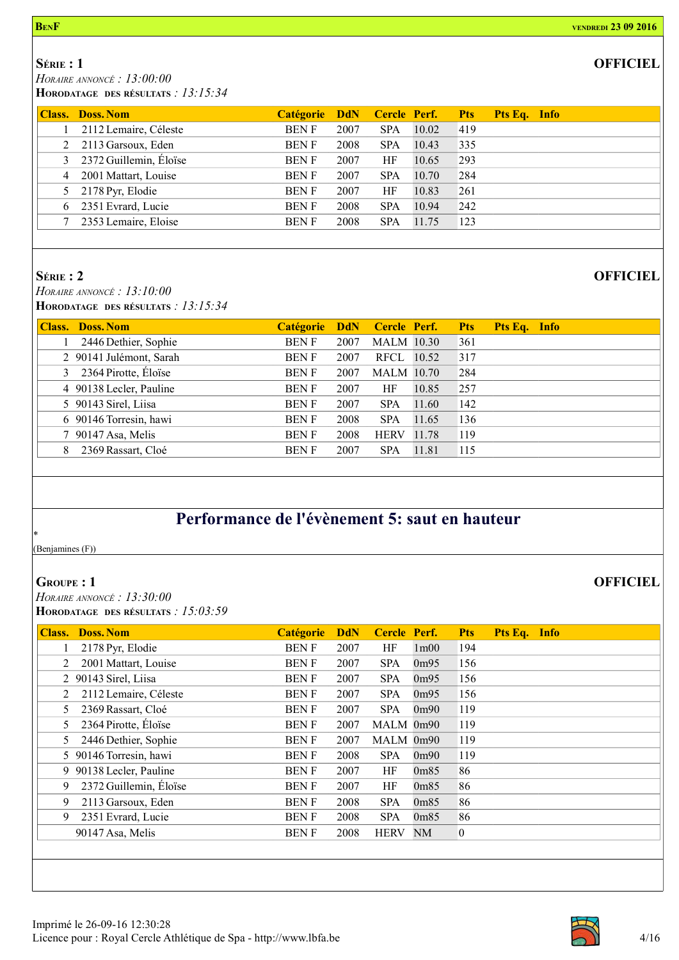#### **BENF**

## **OFFICIEL**

**OFFICIEL** 

**OFFICIEL** 

SÉRIE: 1

HORAIRE ANNONCÉ : 13:00:00 HORODATAGE DES RÉSULTATS : 13:15:34

| <b>Class.</b> | Doss, Nom              | Catégorie DdN Cercle Perf. Pts |      |            |       |     | Pts Eq. Info |
|---------------|------------------------|--------------------------------|------|------------|-------|-----|--------------|
|               | 2112 Lemaire, Céleste  | <b>BEN F</b>                   | 2007 | <b>SPA</b> | 10.02 | 419 |              |
|               | 2113 Garsoux, Eden     | <b>BENF</b>                    | 2008 | <b>SPA</b> | 10.43 | 335 |              |
| 3             | 2372 Guillemin, Éloïse | <b>BENF</b>                    | 2007 | HF.        | 10.65 | 293 |              |
| 4             | 2001 Mattart, Louise   | <b>BENF</b>                    | 2007 | <b>SPA</b> | 10.70 | 284 |              |
|               | 5 2178 Pyr, Elodie     | <b>BENF</b>                    | 2007 | HF.        | 10.83 | 261 |              |
| 6             | 2351 Evrard, Lucie     | <b>BENF</b>                    | 2008 | <b>SPA</b> | 10.94 | 242 |              |
|               | 2353 Lemaire, Eloise   | <b>BENF</b>                    | 2008 | <b>SPA</b> | 11.75 | 123 |              |

## $S$ érie: 2

HORAIRE ANNONCÉ :  $13:10:00$ HORODATAGE DES RÉSULTATS : 13:15:34

|   | <b>Class. Doss. Nom</b> | Catégorie DdN Cercle Perf. |      |                   |       | <b>Pts</b> | Pts Eq. Info |  |
|---|-------------------------|----------------------------|------|-------------------|-------|------------|--------------|--|
|   | 2446 Dethier, Sophie    | <b>BENF</b>                | 2007 | <b>MALM</b> 10.30 |       | 361        |              |  |
|   | 2 90141 Julémont, Sarah | <b>BENF</b>                | 2007 | RFCL 10.52        |       | 317        |              |  |
| 3 | 2364 Pirotte, Éloïse    | <b>BENF</b>                | 2007 | <b>MALM</b> 10.70 |       | 284        |              |  |
|   | 4 90138 Lecler, Pauline | <b>BENF</b>                | 2007 | HF                | 10.85 | 257        |              |  |
|   | 5 90143 Sirel, Liisa    | <b>BENF</b>                | 2007 | <b>SPA</b>        | 11.60 | 142        |              |  |
|   | 6 90146 Torresin, hawi  | <b>BENF</b>                | 2008 | <b>SPA</b>        | 11.65 | 136        |              |  |
|   | 7 90147 Asa, Melis      | <b>BENF</b>                | 2008 | <b>HERV</b>       | 11.78 | 119        |              |  |
| 8 | 2369 Rassart, Cloé      | <b>BENF</b>                | 2007 | <b>SPA</b>        | 11.81 | 115        |              |  |
|   |                         |                            |      |                   |       |            |              |  |

# Performance de l'évènement 5: saut en hauteur

(Benjamines (F))

## **GROUPE: 1**

HORAIRE ANNONCÉ : 13:30:00 HORODATAGE DES RÉSULTATS : 15:03:59

| Class.       | <b>Doss. Nom</b>        | <b>Catégorie</b> | <b>DdN</b> | <b>Cercle Perf.</b> |                   | <b>Pts</b>   | Pts Eq. Info |
|--------------|-------------------------|------------------|------------|---------------------|-------------------|--------------|--------------|
|              | 2178 Pyr, Elodie        | <b>BENF</b>      | 2007       | HF                  | 1 <sub>m00</sub>  | 194          |              |
| 2            | 2001 Mattart, Louise    | <b>BENF</b>      | 2007       | <b>SPA</b>          | 0m95              | 156          |              |
|              | 2 90143 Sirel, Liisa    | <b>BENF</b>      | 2007       | <b>SPA</b>          | 0m95              | 156          |              |
| $\mathbf{2}$ | 2112 Lemaire, Céleste   | <b>BENF</b>      | 2007       | <b>SPA</b>          | 0m95              | 156          |              |
| 5            | 2369 Rassart, Cloé      | <b>BENF</b>      | 2007       | <b>SPA</b>          | 0 <sub>m</sub> 90 | 119          |              |
| 5.           | 2364 Pirotte, Éloïse    | <b>BENF</b>      | 2007       | MALM 0m90           |                   | 119          |              |
| 5            | 2446 Dethier, Sophie    | <b>BENF</b>      | 2007       | MALM 0m90           |                   | 119          |              |
|              | 5 90146 Torresin, hawi  | <b>BENF</b>      | 2008       | <b>SPA</b>          | 0 <sub>m90</sub>  | 119          |              |
|              | 9 90138 Lecler, Pauline | <b>BENF</b>      | 2007       | HF                  | 0 <sub>m85</sub>  | 86           |              |
| 9            | 2372 Guillemin, Éloïse  | <b>BENF</b>      | 2007       | HF                  | 0 <sub>m85</sub>  | 86           |              |
| 9            | 2113 Garsoux, Eden      | <b>BENF</b>      | 2008       | <b>SPA</b>          | 0 <sub>m85</sub>  | 86           |              |
| 9            | 2351 Evrard, Lucie      | <b>BENF</b>      | 2008       | <b>SPA</b>          | 0m85              | 86           |              |
|              | 90147 Asa, Melis        | <b>BENF</b>      | 2008       | <b>HERV</b>         | NM                | $\mathbf{0}$ |              |
|              |                         |                  |            |                     |                   |              |              |

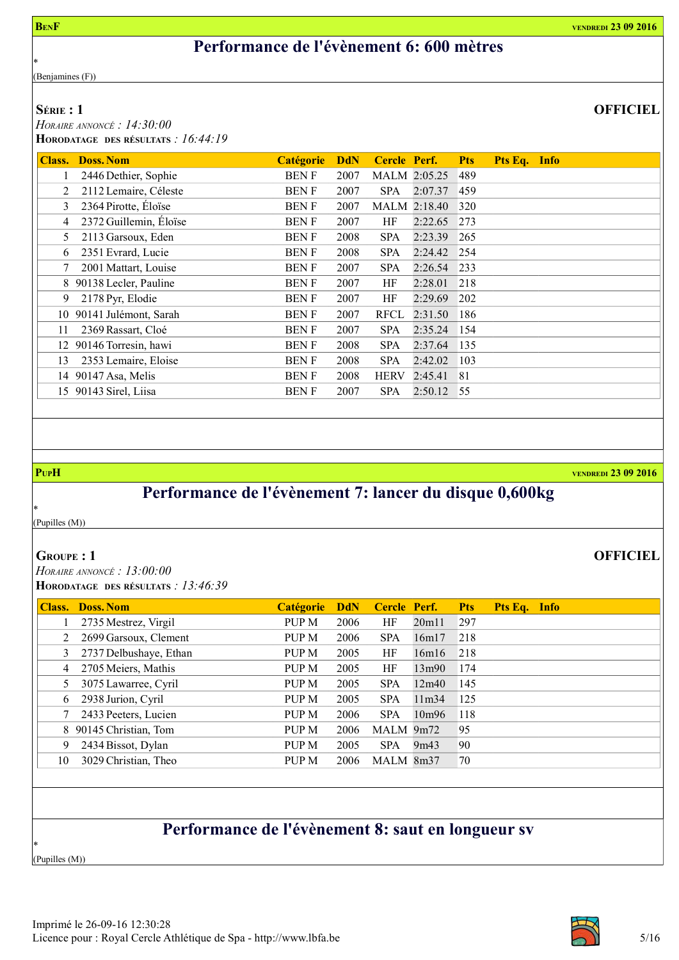# Performance de l'évènement 6: 600 mètres

(Benjamines (F))

## SÉRIE : 1

HORAIRE ANNONCÉ : 14:30:00 HORODATAGE DES RÉSULTATS : 16:44:19

| <b>Class.</b> | <b>Doss. Nom</b>         | <b>Catégorie</b> | <b>DdN</b> | Cercle Perf. |              | <b>Pts</b>     | Pts Eq. Info |  |
|---------------|--------------------------|------------------|------------|--------------|--------------|----------------|--------------|--|
|               | 2446 Dethier, Sophie     | <b>BENF</b>      | 2007       |              | MALM 2:05.25 | 489            |              |  |
| 2             | 2112 Lemaire, Céleste    | <b>BENF</b>      | 2007       | <b>SPA</b>   | 2:07.37      | 459            |              |  |
| 3             | 2364 Pirotte, Éloïse     | <b>BENF</b>      | 2007       |              | MALM 2:18.40 | 320            |              |  |
| 4             | 2372 Guillemin, Éloïse   | <b>BENF</b>      | 2007       | HF           | 2:22.65      | 273            |              |  |
| 5.            | 2113 Garsoux, Eden       | <b>BENF</b>      | 2008       | <b>SPA</b>   | 2:23.39      | 265            |              |  |
| 6             | 2351 Evrard, Lucie       | <b>BENF</b>      | 2008       | <b>SPA</b>   | 2:24.42      | 254            |              |  |
|               | 2001 Mattart, Louise     | <b>BENF</b>      | 2007       | <b>SPA</b>   | 2:26.54      | 233            |              |  |
|               | 8 90138 Lecler, Pauline  | <b>BENF</b>      | 2007       | HF           | 2:28.01      | 218            |              |  |
| 9             | 2178 Pyr, Elodie         | <b>BENF</b>      | 2007       | HF           | 2:29.69      | 202            |              |  |
|               | 10 90141 Julémont, Sarah | <b>BENF</b>      | 2007       | <b>RFCL</b>  | 2:31.50      | 186            |              |  |
| 11            | 2369 Rassart, Cloé       | <b>BENF</b>      | 2007       | <b>SPA</b>   | 2:35.24      | 154            |              |  |
|               | 12 90146 Torresin, hawi  | <b>BENF</b>      | 2008       | <b>SPA</b>   | 2:37.64      | <sup>135</sup> |              |  |
| 13            | 2353 Lemaire, Eloise     | <b>BENF</b>      | 2008       | <b>SPA</b>   | 2:42.02      | 103            |              |  |
|               | 14 90147 Asa, Melis      | <b>BENF</b>      | 2008       | <b>HERV</b>  | 2:45.41      | 81             |              |  |
|               | 15 90143 Sirel, Liisa    | <b>BENF</b>      | 2007       | <b>SPA</b>   | 2:50.12      | 55             |              |  |

**PUPH** 

# Performance de l'évènement 7: lancer du disque 0,600kg

(Pupilles (M))

## **GROUPE: 1**

HORAIRE ANNONCÉ : 13:00:00 HORODATAGE DES RÉSULTATS : 13:46:39

| Class. | Doss, Nom              | <b>Catégorie</b> | <b>DdN</b> | Cercle Perf. |       | <b>Pts</b> | Pts Eq. Info |  |
|--------|------------------------|------------------|------------|--------------|-------|------------|--------------|--|
|        | 2735 Mestrez, Virgil   | PUP <sub>M</sub> | 2006       | HF           | 20m11 | 297        |              |  |
|        | 2699 Garsoux, Clement  | PUP M            | 2006       | <b>SPA</b>   | 16m17 | 218        |              |  |
| 3      | 2737 Delbushaye, Ethan | PUP M            | 2005       | HF           | 16m16 | 218        |              |  |
| 4      | 2705 Meiers, Mathis    | PUP M            | 2005       | HF           | 13m90 | 174        |              |  |
| 5      | 3075 Lawarree, Cyril   | PUP M            | 2005       | <b>SPA</b>   | 12m40 | 145        |              |  |
| 6      | 2938 Jurion, Cyril     | PUP M            | 2005       | <b>SPA</b>   | 11m34 | 125        |              |  |
|        | 2433 Peeters, Lucien   | PUP M            | 2006       | <b>SPA</b>   | 10m96 | 118        |              |  |
|        | 8 90145 Christian, Tom | PUP <sub>M</sub> | 2006       | MALM 9m72    |       | 95         |              |  |
| 9      | 2434 Bissot, Dylan     | PUP <sub>M</sub> | 2005       | <b>SPA</b>   | 9m43  | 90         |              |  |
| 10     | 3029 Christian, Theo   | PUP M            | 2006       | MALM 8m37    |       | 70         |              |  |

# Performance de l'évènement 8: saut en longueur sv

(Pupilles (M))



**OFFICIEL** 

**OFFICIEL** 

**VENDREDI 23 09 2016**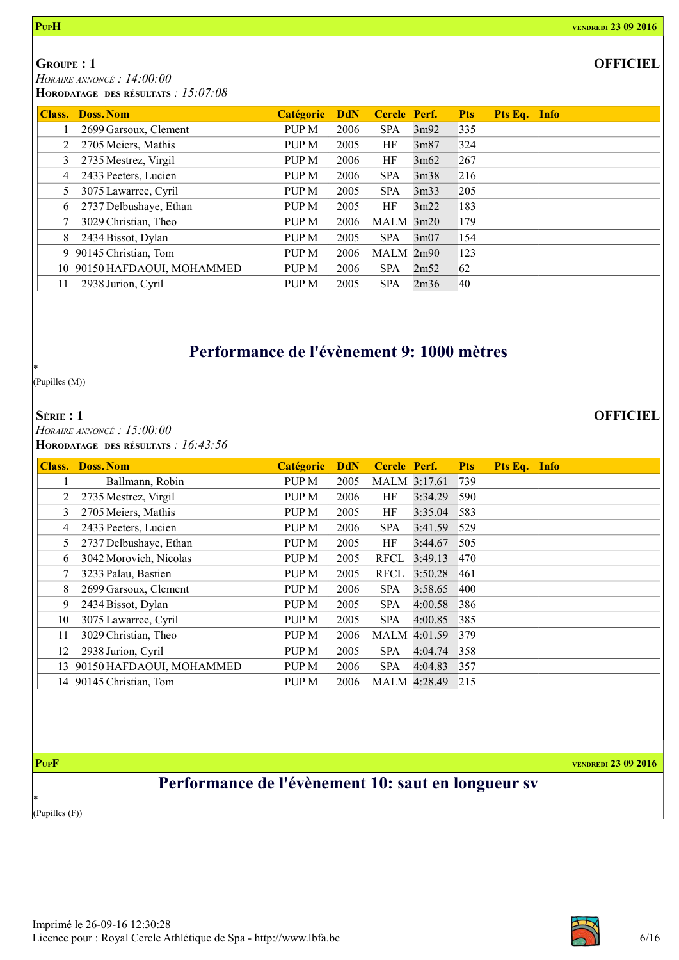#### **PUPH**

**OFFICIEL** 

**OFFICIEL** 

### **GROUPE: 1**

HORAIRE ANNONCÉ : 14:00:00 HORODATAGE DES RÉSULTATS : 15:07:08

| <b>Class.</b> | Doss, Nom                   | <b>Catégorie</b> | <b>DdN</b> | Cercle Perf. |      | <b>Pts</b> | Pts Eq. Info |  |
|---------------|-----------------------------|------------------|------------|--------------|------|------------|--------------|--|
|               | 2699 Garsoux, Clement       | PUP M            | 2006       | <b>SPA</b>   | 3m92 | 335        |              |  |
| 2             | 2705 Meiers, Mathis         | PUP <sub>M</sub> | 2005       | HF           | 3m87 | 324        |              |  |
| 3             | 2735 Mestrez, Virgil        | PUP M            | 2006       | HF           | 3m62 | 267        |              |  |
| 4             | 2433 Peeters, Lucien        | PUP <sub>M</sub> | 2006       | <b>SPA</b>   | 3m38 | 216        |              |  |
| 5             | 3075 Lawarree, Cyril        | PUP <sub>M</sub> | 2005       | <b>SPA</b>   | 3m33 | 205        |              |  |
| 6             | 2737 Delbushaye, Ethan      | PUP <sub>M</sub> | 2005       | HF           | 3m22 | 183        |              |  |
|               | 3029 Christian, Theo        | PUP <sub>M</sub> | 2006       | $MALM$ 3m20  |      | 179        |              |  |
| 8             | 2434 Bissot, Dylan          | PUP <sub>M</sub> | 2005       | <b>SPA</b>   | 3m07 | 154        |              |  |
|               | 9 90145 Christian, Tom      | PUP <sub>M</sub> | 2006       | $MALM$ 2m90  |      | 123        |              |  |
|               | 10 90150 HAFDAOUI, MOHAMMED | PUP <sub>M</sub> | 2006       | <b>SPA</b>   | 2m52 | 62         |              |  |
| 11            | 2938 Jurion, Cyril          | PUP <sub>M</sub> | 2005       | <b>SPA</b>   | 2m36 | 40         |              |  |

# Performance de l'évènement 9: 1000 mètres

(Pupilles (M))

## SÉRIE: 1

HORAIRE ANNONCÉ : 15:00:00 HORODATAGE DES RÉSULTATS : 16:43:56

| Class. | <b>Doss, Nom</b>            | <b>Catégorie</b> | <b>DdN</b> | Cercle Perf. |         | <b>Pts</b> | Pts Eq. Info |  |
|--------|-----------------------------|------------------|------------|--------------|---------|------------|--------------|--|
|        | Ballmann, Robin             | PUP <sub>M</sub> | 2005       | MALM 3:17.61 |         | 739        |              |  |
| 2      | 2735 Mestrez, Virgil        | PUP M            | 2006       | HF           | 3:34.29 | 590        |              |  |
| 3      | 2705 Meiers, Mathis         | PUP <sub>M</sub> | 2005       | HF           | 3:35.04 | 583        |              |  |
| 4      | 2433 Peeters, Lucien        | PUP <sub>M</sub> | 2006       | <b>SPA</b>   | 3:41.59 | 529        |              |  |
| 5      | 2737 Delbushaye, Ethan      | PUP <sub>M</sub> | 2005       | HF           | 3:44.67 | 505        |              |  |
| 6      | 3042 Morovich, Nicolas      | PUP <sub>M</sub> | 2005       | <b>RFCL</b>  | 3:49.13 | 470        |              |  |
| 7      | 3233 Palau, Bastien         | PUP <sub>M</sub> | 2005       | <b>RFCL</b>  | 3:50.28 | 461        |              |  |
| 8      | 2699 Garsoux, Clement       | PUP M            | 2006       | <b>SPA</b>   | 3:58.65 | 400        |              |  |
| 9      | 2434 Bissot, Dylan          | PUP M            | 2005       | <b>SPA</b>   | 4:00.58 | 386        |              |  |
| 10     | 3075 Lawarree, Cyril        | PUP M            | 2005       | <b>SPA</b>   | 4:00.85 | 385        |              |  |
| 11     | 3029 Christian, Theo        | PUP M            | 2006       | MALM 4:01.59 |         | 379        |              |  |
| 12     | 2938 Jurion, Cyril          | PUP <sub>M</sub> | 2005       | <b>SPA</b>   | 4:04.74 | 358        |              |  |
|        | 13 90150 HAFDAOUI, MOHAMMED | PUP M            | 2006       | <b>SPA</b>   | 4:04.83 | 357        |              |  |
|        | 14 90145 Christian, Tom     | PUP <sub>M</sub> | 2006       | MALM 4:28.49 |         | 215        |              |  |

PUPF

# Performance de l'évènement 10: saut en longueur sv

(Pupilles (F))



**VENDREDI 23 09 2016**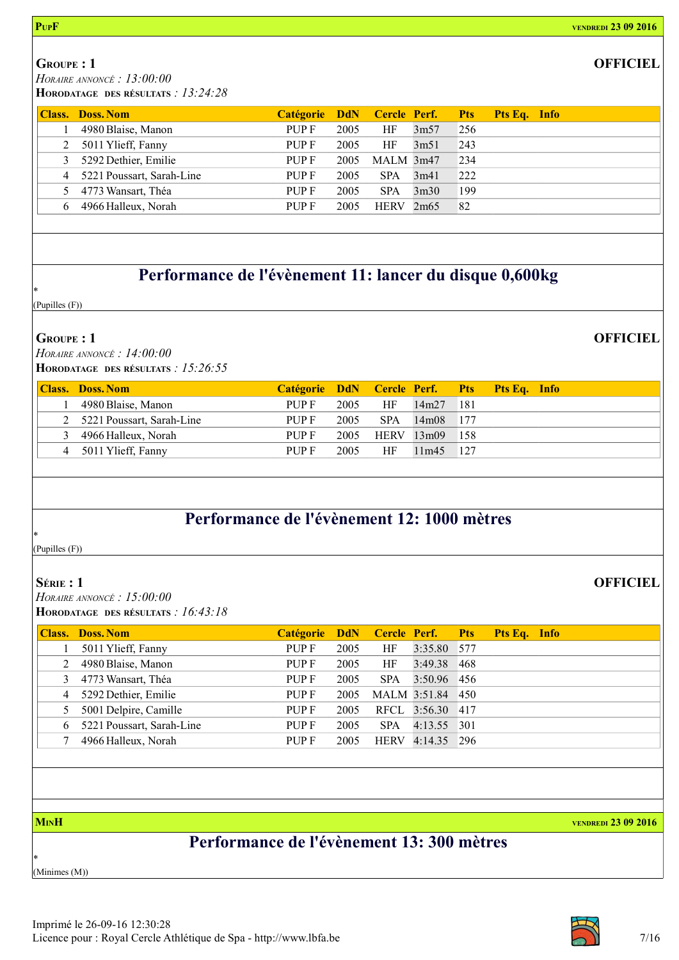#### PUPF

**OFFICIEL** 

**OFFICIEL** 

**OFFICIEL** 

### **GROUPE: 1**

HORAIRE ANNONCÉ :  $13:00:00$ HORODATAGE DES RÉSULTATS : 13:24:28

|   | <b>Class. Doss. Nom</b>   |                  |      |             |      |     | Catégorie DdN Cercle Perf. Pts Pts Eq. Info |
|---|---------------------------|------------------|------|-------------|------|-----|---------------------------------------------|
|   | 4980 Blaise, Manon        | PUP <sub>F</sub> | 2005 | HF          | 3m57 | 256 |                                             |
|   | 5011 Ylieff, Fanny        | PUP <sub>F</sub> | 2005 | HF.         | 3m51 | 243 |                                             |
| 3 | 5292 Dethier, Emilie      | PUP <sub>F</sub> | 2005 | $MALM$ 3m47 |      | 234 |                                             |
| 4 | 5221 Poussart, Sarah-Line | PUP <sub>F</sub> | 2005 | <b>SPA</b>  | 3m41 | 222 |                                             |
|   | 5 4773 Wansart, Théa      | PUP <sub>F</sub> | 2005 | <b>SPA</b>  | 3m30 | 199 |                                             |
| 6 | 4966 Halleux, Norah       | PUP <sub>F</sub> | 2005 | <b>HERV</b> | 2m65 | 82  |                                             |

# Performance de l'évènement 11: lancer du disque 0,600kg

(Pupilles (F))

### **GROUPE: 1**

HORAIRE ANNONCÉ : 14:00:00 HORODATAGE DES RÉSULTATS : 15:26:55

| <b>Class. Doss. Nom</b>     |                  |      |                     | Catégorie DdN Cercle Perf. Pts Pts Eq. Info |
|-----------------------------|------------------|------|---------------------|---------------------------------------------|
| 4980 Blaise, Manon          | PUP <sub>F</sub> | 2005 | HF 14m27 181        |                                             |
| 2 5221 Poussart, Sarah-Line | PUP F            | 2005 | SPA 14m08 177       |                                             |
| 3 4966 Halleux, Norah       | PUP <sub>F</sub> |      | 2005 HERV 13m09 158 |                                             |
| 4 5011 Ylieff, Fanny        | PUP <sub>F</sub> | 2005 | HF 11m45 127        |                                             |

# Performance de l'évènement 12: 1000 mètres

(Pupilles (F))

### $S$ érie:  $1$ HORAIRE ANNONCÉ : 15:00:00 HORODATAGE DES RÉSULTATS : 16:43:18

|    | <b>Class. Doss. Nom</b>   | Catégorie DdN Cercle Perf. Pts Pts Eq. Info |      |            |                  |     |  |
|----|---------------------------|---------------------------------------------|------|------------|------------------|-----|--|
|    | 5011 Ylieff, Fanny        | PUP F                                       | 2005 | HF         | 3:35.80 577      |     |  |
|    | 4980 Blaise, Manon        | PUP F                                       | 2005 | HF         | 3:49.38          | 468 |  |
| 3  | 4773 Wansart, Théa        | PUP F                                       | 2005 | <b>SPA</b> | 3:50.96 456      |     |  |
| 4  | 5292 Dethier, Emilie      | PUP <sub>F</sub>                            | 2005 |            | MALM 3:51.84 450 |     |  |
|    | 5001 Delpire, Camille     | PUP F                                       | 2005 |            | RFCL 3:56.30 417 |     |  |
| 6. | 5221 Poussart, Sarah-Line | PUP F                                       | 2005 | <b>SPA</b> | 4:13.55          | 301 |  |
|    | 4966 Halleux, Norah       | PUP F                                       | 2005 |            | HERV 4:14.35 296 |     |  |

**M<sub>IN</sub>H** 

**VENDREDI 23 09 2016** 

## Performance de l'évènement 13: 300 mètres

(Minimes (M))

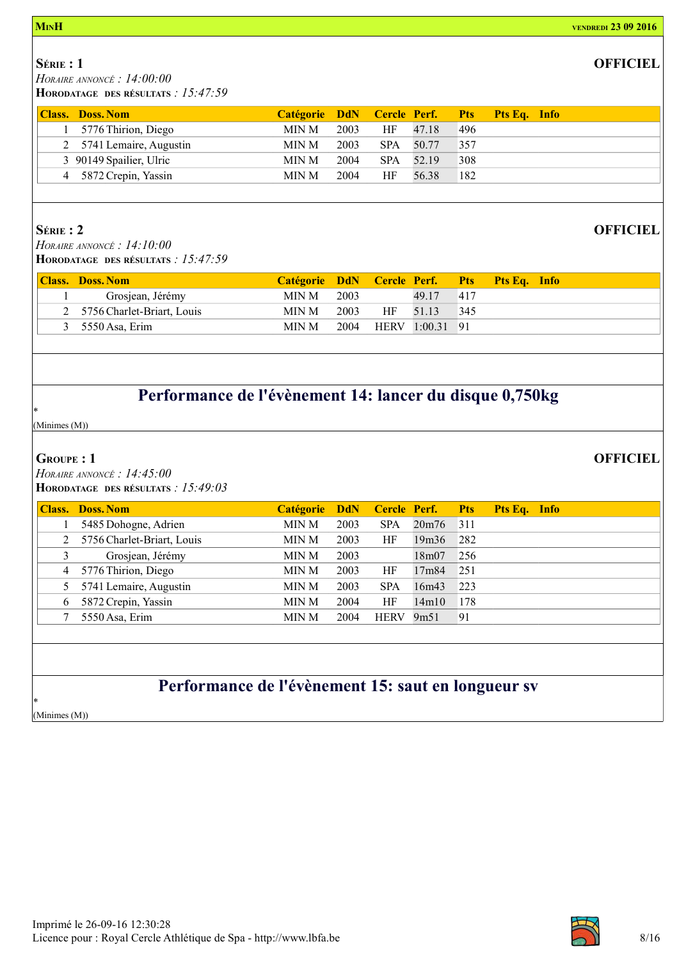#### **M<sub>IN</sub>H**

**OFFICIEL** 

## SÉRIE : 1

HORAIRE ANNONCÉ : 14:00:00 HORODATAGE DES RÉSULTATS : 15:47:59

| <b>Class. Doss. Nom</b>  | Catégorie DdN Cercle Perf. Pts Pts Eq. Info |      |           |       |     |  |
|--------------------------|---------------------------------------------|------|-----------|-------|-----|--|
| 1 5776 Thirion, Diego    | MIN M                                       | 2003 | HF        | 47.18 | 496 |  |
| 2 5741 Lemaire, Augustin | MIN M                                       | 2003 | SPA 50.77 |       | 357 |  |
| 3 90149 Spailier, Ulric  | MIN M                                       | 2004 | SPA 52.19 |       | 308 |  |
| 4 5872 Crepin, Yassin    | MIN M                                       | 2004 | HF        | 5638  | 182 |  |

## $S$ érie: 2

**OFFICIEL** 

**OFFICIEL** 

HORAIRE ANNONCÉ : 14:10:00

| <b>HORODATAGE DES RÉSULTATS</b> : $15:47:59$ |  |
|----------------------------------------------|--|
|                                              |  |

| <b>Class. Doss. Nom</b>      | Catégorie DdN Cercle Perf. Pts Pts Eq. Info |      |                 |     |  |
|------------------------------|---------------------------------------------|------|-----------------|-----|--|
| Grosjean, Jérémy             | $MIN M$ 2003                                |      | 49.17           | 417 |  |
| 2 5756 Charlet-Briart, Louis | $MIN M$ 2003                                |      | HF 51 13        | 345 |  |
| 3 5550 Asa, Erim             | MIN M                                       | 2004 | HERV 1:00.31 91 |     |  |

# Performance de l'évènement 14: lancer du disque 0,750kg

(Minimes (M))

## **GROUPE: 1**

HORAIRE ANNONCÉ : 14:45:00 HORODATAGE DES RÉSULTATS : 15:49:03

| 5485 Dohogne, Adrien       | MIN M                        | 2003 | <b>SPA</b>  | 20m76 |     |                                         |                     |
|----------------------------|------------------------------|------|-------------|-------|-----|-----------------------------------------|---------------------|
| 5756 Charlet-Briart, Louis | MIN M                        | 2003 | HF          | 19m36 | 282 |                                         |                     |
| Grosjean, Jérémy           | MIN M                        | 2003 |             | 18m07 | 256 |                                         |                     |
| 5776 Thirion, Diego        | MIN M                        | 2003 | HF          | 17m84 | 251 |                                         |                     |
| 5741 Lemaire, Augustin     | MIN M                        | 2003 | <b>SPA</b>  | 16m43 | 223 |                                         |                     |
| 5872 Crepin, Yassin        | MIN M                        | 2004 | HF          | 14m10 | 178 |                                         |                     |
| 5550 Asa, Erim             | MIN M                        | 2004 | <b>HERV</b> | 9m51  | 91  |                                         |                     |
|                            | <b>Class. Doss. Nom</b><br>2 |      |             |       |     | Catégorie DdN Cercle Perf. Pts<br>- 311 | <b>Pts Eq.</b> Info |

# Performance de l'évènement 15: saut en longueur sv

(Minimes (M))

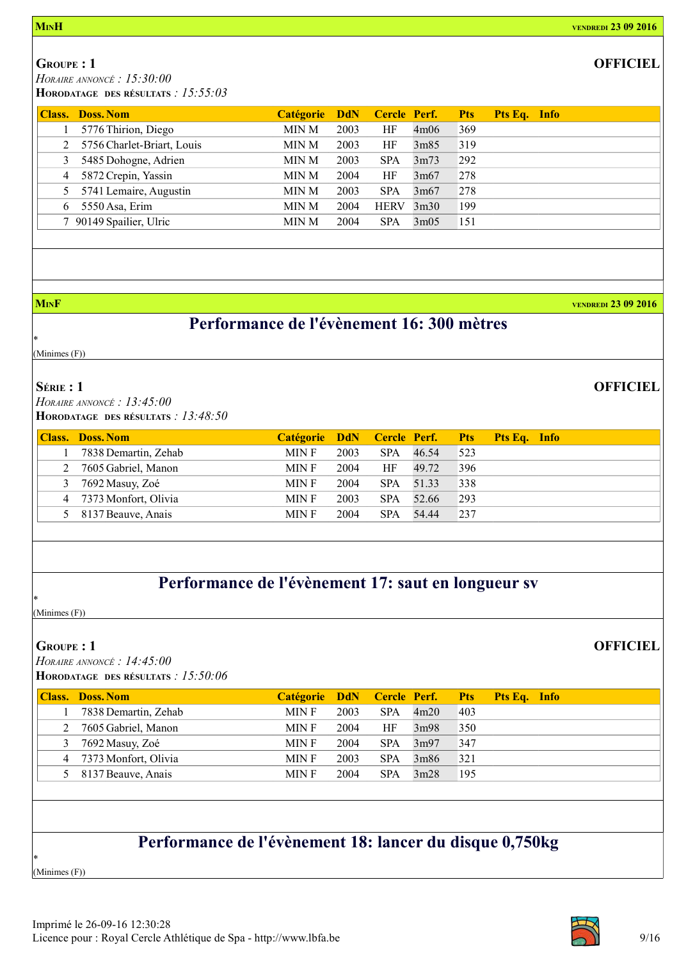#### **M<sub>IN</sub>H**

## **OFFICIEL**

**GROUPE: 1** 

HORAIRE ANNONCÉ : 15:30:00 HORODATAGE DES RÉSULTATS : 15:55:03

|                | <b>Class. Doss. Nom</b>    | Catégorie DdN Cercle Perf. |      |             |      | <b>Pts</b> | Pts Eq. Info |  |
|----------------|----------------------------|----------------------------|------|-------------|------|------------|--------------|--|
|                | 5776 Thirion, Diego        | MIN M                      | 2003 | ΗF          | 4m06 | 369        |              |  |
|                | 5756 Charlet-Briart, Louis | MIN M                      | 2003 | ΗF          | 3m85 | 319        |              |  |
| 3              | 5485 Dohogne, Adrien       | <b>MIN M</b>               | 2003 | <b>SPA</b>  | 3m73 | 292        |              |  |
| 4              | 5872 Crepin, Yassin        | MIN M                      | 2004 | ΗF          | 3m67 | 278        |              |  |
| 5 <sub>1</sub> | 5741 Lemaire, Augustin     | MIN M                      | 2003 | <b>SPA</b>  | 3m67 | 278        |              |  |
| 6              | 5550 Asa, Erim             | MIN M                      | 2004 | <b>HERV</b> | 3m30 | 199        |              |  |
|                | 7 90149 Spailier, Ulric    | MIN M                      | 2004 | <b>SPA</b>  | 3m05 | 151        |              |  |

**MINF** 

**VENDREDI 23 09 2016** 

**OFFICIEL** 

**OFFICIEL** 

# Performance de l'évènement 16: 300 mètres

 $(Minimes(F))$ 

## SÉRIE : 1

HORAIRE ANNONCÉ :  $13:45:00$ HORODATAGE DES RÉSULTATS : 13:48:50

| <b>Class. Doss. Nom</b> |       |      |            |       | Catégorie DdN Cercle Perf. Pts Pts Eq. Info |
|-------------------------|-------|------|------------|-------|---------------------------------------------|
| 7838 Demartin, Zehab    | MIN F | 2003 | <b>SPA</b> | 46.54 | 523                                         |
| 7605 Gabriel, Manon     | MIN F | 2004 | ΗF         | 49 72 | 396                                         |
| 3 7692 Masuy, Zoé       | MIN F | 2004 | <b>SPA</b> | 51 33 | 338                                         |
| 4 7373 Monfort, Olivia  | MIN F | 2003 | <b>SPA</b> | 52.66 | 293                                         |
| 5 8137 Beauve, Anais    | MIN F | 2004 | <b>SPA</b> | 54.44 | 237                                         |

# Performance de l'évènement 17: saut en longueur sv

(Minimes (F))

## **GROUPE: 1**

HORAIRE ANNONCÉ : 14:45:00 HORODATAGE DES RÉSULTATS : 15:50:06

| <b>Class. Doss. Nom</b> |       |      |            |      |     | Catégorie DdN Cercle Perf. Pts Pts Eq. Info |
|-------------------------|-------|------|------------|------|-----|---------------------------------------------|
| 7838 Demartin, Zehab    | MIN F | 2003 | <b>SPA</b> | 4m20 | 403 |                                             |
| 2 7605 Gabriel, Manon   | MIN F | 2004 | ΗF         | 3m98 | 350 |                                             |
| 3 7692 Masuy, Zoé       | MIN F | 2004 | <b>SPA</b> | 3m97 | 347 |                                             |
| 4 7373 Monfort, Olivia  | MIN F | 2003 | <b>SPA</b> | 3m86 | 321 |                                             |
| 8137 Beauve, Anais      | MIN F | 2004 | <b>SPA</b> | 3m28 | 195 |                                             |

# Performance de l'évènement 18: lancer du disque 0,750kg

(Minimes (F))

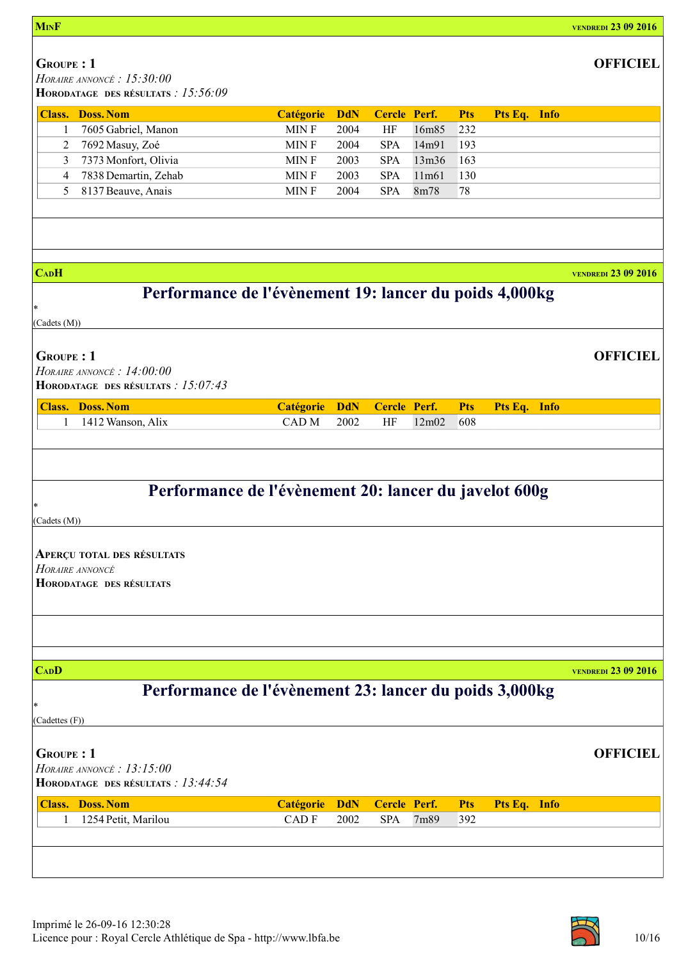#### **M<sub>IN</sub>F**

**OFFICIEL** 

### **GROUPE: 1**

HORAIRE ANNONCÉ : 15:30:00 HORODATAGE DES RÉSULTATS : 15:56:09

|   | <b>Class. Doss. Nom</b> | Catégorie DdN Cercle Perf. Pts Pts Eq. Info |      |            |           |       |  |
|---|-------------------------|---------------------------------------------|------|------------|-----------|-------|--|
|   | 7605 Gabriel, Manon     | MIN F                                       | 2004 | <b>HF</b>  | 16m85     | 232   |  |
|   | 7692 Masuy, Zoé         | MIN F                                       | 2004 | <b>SPA</b> | 14m91 193 |       |  |
|   | 3 7373 Monfort, Olivia  | MIN F                                       | 2003 | <b>SPA</b> | 13m36     | - 163 |  |
| 4 | 7838 Demartin, Zehab    | MIN F                                       | 2003 | <b>SPA</b> | 11m61     | 130   |  |
|   | 5 8137 Beauve, Anais    | MIN F                                       | 2004 | <b>SPA</b> | 8m78      | 78    |  |
|   |                         |                                             |      |            |           |       |  |

 $CADH$ 



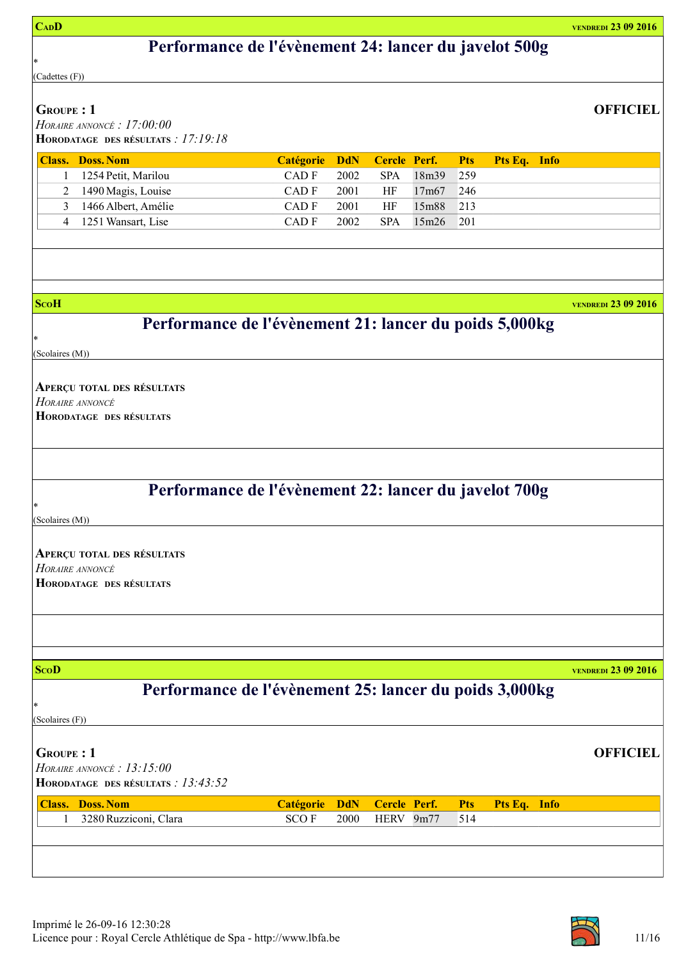**OFFICIEL** 

# Performance de l'évènement 24: lancer du javelot 500g

(Cadettes (F))

### **GROUPE: 1**

HORAIRE ANNONCÉ :  $17:00:00$ HORODATAGE DES RÉSULTATS : 17:19:18

| 1254 Petit, Marilou<br>$SPA$ 18m39<br>2002<br>259<br>CAD F<br>2 1490 Magis, Louise<br>2001<br>17m67 246<br>HF.<br>CAD F | <b>Class. Doss. Nom</b> | Catégorie DdN Cercle Perf. Pts Pts Eq. Info |  |  |  |  |
|-------------------------------------------------------------------------------------------------------------------------|-------------------------|---------------------------------------------|--|--|--|--|
|                                                                                                                         |                         |                                             |  |  |  |  |
|                                                                                                                         |                         |                                             |  |  |  |  |
| 3 1466 Albert, Amélie<br>15m88 213<br>2001<br>HF<br>CAD F                                                               |                         |                                             |  |  |  |  |
| 4 1251 Wansart, Lise<br>$15m26$ 201<br>2002<br><b>SPA</b><br>CAD F                                                      |                         |                                             |  |  |  |  |

**ScoH** 

**VENDREDI 23 09 2016** 

**VENDREDI 23 09 2016** 

**OFFICIEL** 

# Performance de l'évènement 21: lancer du poids 5,000kg

(Scolaires (M))

### **APERCU TOTAL DES RÉSULTATS**

HORAIRE ANNONCÉ

HORODATAGE DES RÉSULTATS

## Performance de l'évènement 22: lancer du javelot 700g

(Scolaires (M))

**APERCU TOTAL DES RÉSULTATS** HORAIRE ANNONCÉ HORODATAGE DES RÉSULTATS

**ScoD** 

# Performance de l'évènement 25: lancer du poids 3,000kg

(Scolaires (F))

## **GROUPE: 1**

HORAIRE ANNONCÉ : 13:15:00 HORODATAGE DES RÉSULTATS : 13:43:52

| <b>Class. Doss. Nom</b> | Catégorie DdN Cercle Perf. Pts Pts Eq. Info |  |  |  |
|-------------------------|---------------------------------------------|--|--|--|
| 1 3280 Ruzziconi, Clara | SCOF 2000 HERV 9m77 514                     |  |  |  |
|                         |                                             |  |  |  |

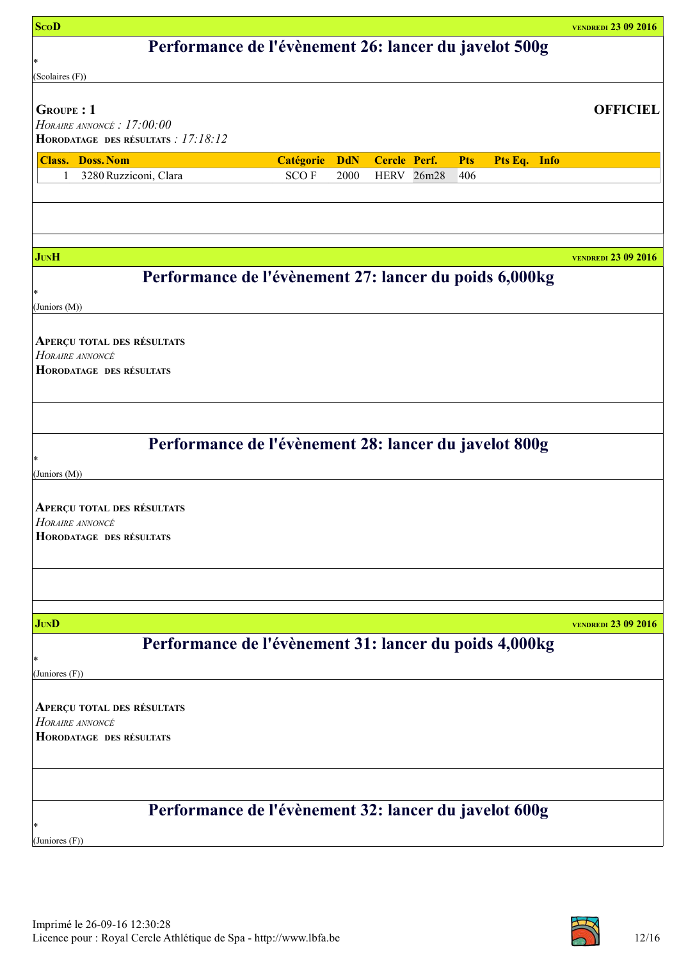| <b>ScoD</b>                                            |                  |            |              |            |            |              | <b>VENDREDI</b> 23 09 2016 |
|--------------------------------------------------------|------------------|------------|--------------|------------|------------|--------------|----------------------------|
| Performance de l'évènement 26: lancer du javelot 500g  |                  |            |              |            |            |              |                            |
| $\ast$                                                 |                  |            |              |            |            |              |                            |
| (Scolaires (F))                                        |                  |            |              |            |            |              |                            |
| <b>GROUPE: 1</b>                                       |                  |            |              |            |            |              | <b>OFFICIEL</b>            |
| HORAIRE ANNONCÉ : 17:00:00                             |                  |            |              |            |            |              |                            |
| HORODATAGE DES RÉSULTATS : 17:18:12                    |                  |            |              |            |            |              |                            |
| <b>Class. Doss. Nom</b>                                | <b>Catégorie</b> | <b>DdN</b> | Cercle Perf. |            | <b>Pts</b> | Pts Eq. Info |                            |
| 3280 Ruzziconi, Clara<br>$\mathbf{1}$                  | <b>SCOF</b>      | 2000       |              | HERV 26m28 | 406        |              |                            |
|                                                        |                  |            |              |            |            |              |                            |
|                                                        |                  |            |              |            |            |              |                            |
|                                                        |                  |            |              |            |            |              |                            |
| <b>JUNH</b>                                            |                  |            |              |            |            |              | <b>VENDREDI 23 09 2016</b> |
| Performance de l'évènement 27: lancer du poids 6,000kg |                  |            |              |            |            |              |                            |
|                                                        |                  |            |              |            |            |              |                            |
| (Juniors $(M)$ )                                       |                  |            |              |            |            |              |                            |
|                                                        |                  |            |              |            |            |              |                            |
| APERÇU TOTAL DES RÉSULTATS                             |                  |            |              |            |            |              |                            |
| HORAIRE ANNONCÉ<br>HORODATAGE DES RÉSULTATS            |                  |            |              |            |            |              |                            |
|                                                        |                  |            |              |            |            |              |                            |
|                                                        |                  |            |              |            |            |              |                            |
|                                                        |                  |            |              |            |            |              |                            |
| Performance de l'évènement 28: lancer du javelot 800g  |                  |            |              |            |            |              |                            |
|                                                        |                  |            |              |            |            |              |                            |
| (Juniors (M))                                          |                  |            |              |            |            |              |                            |
|                                                        |                  |            |              |            |            |              |                            |
| APERÇU TOTAL DES RÉSULTATS                             |                  |            |              |            |            |              |                            |
| Horaire annoncé<br>HORODATAGE DES RÉSULTATS            |                  |            |              |            |            |              |                            |
|                                                        |                  |            |              |            |            |              |                            |
|                                                        |                  |            |              |            |            |              |                            |
|                                                        |                  |            |              |            |            |              |                            |
|                                                        |                  |            |              |            |            |              |                            |
| <b>JUND</b>                                            |                  |            |              |            |            |              | <b>VENDREDI 23 09 2016</b> |
| Performance de l'évènement 31: lancer du poids 4,000kg |                  |            |              |            |            |              |                            |
|                                                        |                  |            |              |            |            |              |                            |
| (Juniores (F))                                         |                  |            |              |            |            |              |                            |
|                                                        |                  |            |              |            |            |              |                            |
| APERÇU TOTAL DES RÉSULTATS<br>HORAIRE ANNONCÉ          |                  |            |              |            |            |              |                            |
| HORODATAGE DES RÉSULTATS                               |                  |            |              |            |            |              |                            |
|                                                        |                  |            |              |            |            |              |                            |
|                                                        |                  |            |              |            |            |              |                            |
|                                                        |                  |            |              |            |            |              |                            |
| Performance de l'évènement 32: lancer du javelot 600g  |                  |            |              |            |            |              |                            |
|                                                        |                  |            |              |            |            |              |                            |
| (Juniores $(F)$ )                                      |                  |            |              |            |            |              |                            |

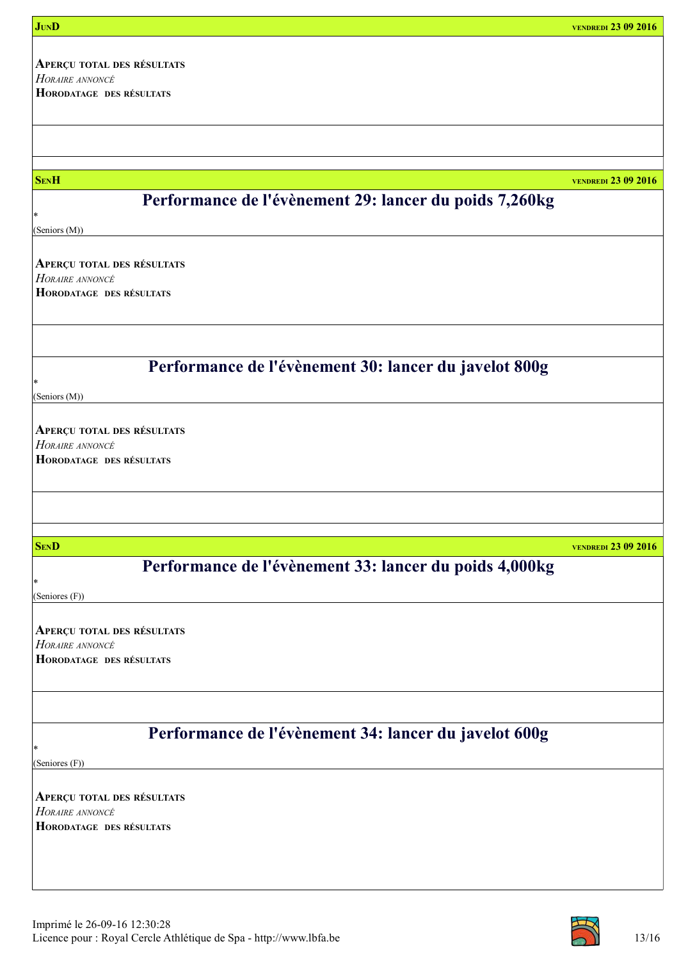| <b>JUND</b>                                            | <b>VENDREDI 23 09 2016</b> |
|--------------------------------------------------------|----------------------------|
|                                                        |                            |
| <b>APERÇU TOTAL DES RÉSULTATS</b>                      |                            |
| HORAIRE ANNONCÉ                                        |                            |
| HORODATAGE DES RÉSULTATS                               |                            |
|                                                        |                            |
|                                                        |                            |
|                                                        |                            |
| <b>SENH</b>                                            | <b>VENDREDI 23 09 2016</b> |
|                                                        |                            |
| Performance de l'évènement 29: lancer du poids 7,260kg |                            |
| (Seniors (M))                                          |                            |
|                                                        |                            |
| APERÇU TOTAL DES RÉSULTATS                             |                            |
| HORAIRE ANNONCÉ                                        |                            |
| HORODATAGE DES RÉSULTATS                               |                            |
|                                                        |                            |
|                                                        |                            |
|                                                        |                            |
| Performance de l'évènement 30: lancer du javelot 800g  |                            |
|                                                        |                            |
| (Seniors (M))                                          |                            |
|                                                        |                            |
| APERÇU TOTAL DES RÉSULTATS                             |                            |
| HORAIRE ANNONCÉ                                        |                            |
| HORODATAGE DES RÉSULTATS                               |                            |
|                                                        |                            |
|                                                        |                            |
|                                                        |                            |
|                                                        |                            |
| <b>SEND</b>                                            | <b>VENDREDI 23 09 2016</b> |
| Performance de l'évènement 33: lancer du poids 4,000kg |                            |
|                                                        |                            |
| (Seniores (F))                                         |                            |
|                                                        |                            |
| APERÇU TOTAL DES RÉSULTATS                             |                            |
| HORAIRE ANNONCÉ                                        |                            |
| HORODATAGE DES RÉSULTATS                               |                            |
|                                                        |                            |
|                                                        |                            |
|                                                        |                            |
| Performance de l'évènement 34: lancer du javelot 600g  |                            |
|                                                        |                            |
| (Seniores (F))                                         |                            |
|                                                        |                            |
| APERÇU TOTAL DES RÉSULTATS                             |                            |
| HORAIRE ANNONCÉ                                        |                            |
| HORODATAGE DES RÉSULTATS                               |                            |
|                                                        |                            |
|                                                        |                            |
|                                                        |                            |

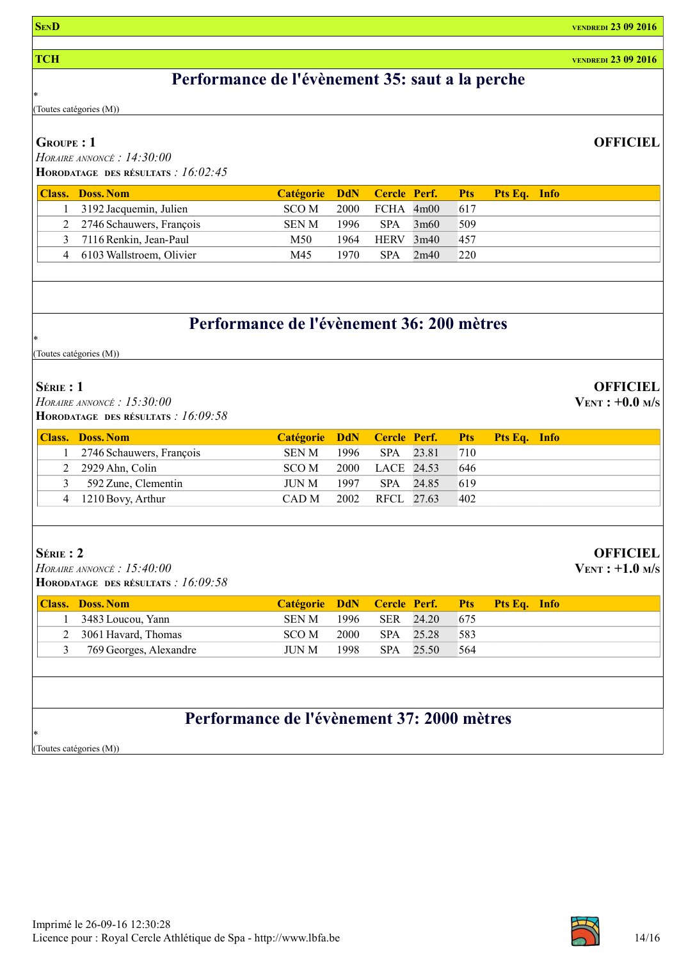**TCH** 

#### **VENDREDI 23 09 2016**

**OFFICIEL** 

# Performance de l'évènement 35: saut a la perche

(Toutes catégories (M))

### **GROUPE: 1**

HORAIRE ANNONCÉ :  $14:30:00$ HORODATAGE DES RÉSULTATS : 16:02:45

| <b>Class. Doss. Nom</b>    |       |      |                  |      |     | Catégorie DdN Cercle Perf. Pts Pts Eq. Info |
|----------------------------|-------|------|------------------|------|-----|---------------------------------------------|
| 1 3192 Jacquemin, Julien   | SCO M | 2000 | FCHA 4m00        |      | 617 |                                             |
| 2 2746 Schauwers, François | SEN M | 1996 | $SPA \quad 3m60$ |      | 509 |                                             |
| 3 7116 Renkin, Jean-Paul   | M50   | 1964 | HERV 3m40        |      | 457 |                                             |
| 4 6103 Wallstroem, Olivier | M45   | 1970 | <b>SPA</b>       | 2m40 | 220 |                                             |

# Performance de l'évènement 36: 200 mètres

(Toutes catégories (M))

### $S$ érie : 1

HORAIRE ANNONCÉ : 15:30:00 HORODATAGE DES RÉSULTATS : 16:09:58

| <b>Class. Doss. Nom</b>    |              |      |                 |      | Catégorie DdN Cercle Perf. Pts Pts Eq. Info |
|----------------------------|--------------|------|-----------------|------|---------------------------------------------|
| 1 2746 Schauwers, François | SEN M        |      | 1996 SPA 23.81  | 710  |                                             |
| 2 2929 Ahn, Colin          | SCO M        | 2000 | LACE 24.53      | -646 |                                             |
| 3 592 Zune, Clementin      | <b>JUN M</b> | 1997 | SPA 24.85       | 619  |                                             |
| 4 1210 Bovy, Arthur        | CAD M        |      | 2002 RFCL 27.63 | 402  |                                             |

## $S$ érie: 2

HORAIRE ANNONCÉ : 15:40:00 HORODATAGE DES RÉSULTATS : 16:09:58

| <b>Class. Doss. Nom</b>  | Catégorie DdN Cercle Perf. Pts Pts Eq. Info |      |           |     |  |
|--------------------------|---------------------------------------------|------|-----------|-----|--|
| 3483 Loucou, Yann        | SEN M 1996 SER 24.20                        |      |           | 675 |  |
| 2 3061 Havard, Thomas    | SCO M                                       | 2000 | SPA 25.28 | 583 |  |
| 3 769 Georges, Alexandre | JUN M                                       | 1998 | SPA 25.50 | 564 |  |

# Performance de l'évènement 37: 2000 mètres

(Toutes catégories (M))



# **OFFICIEL**

**OFFICIEL** 

 $V_{ENT}$ : +1.0 m/s

 $V_{ENT}$ : +0.0 m/s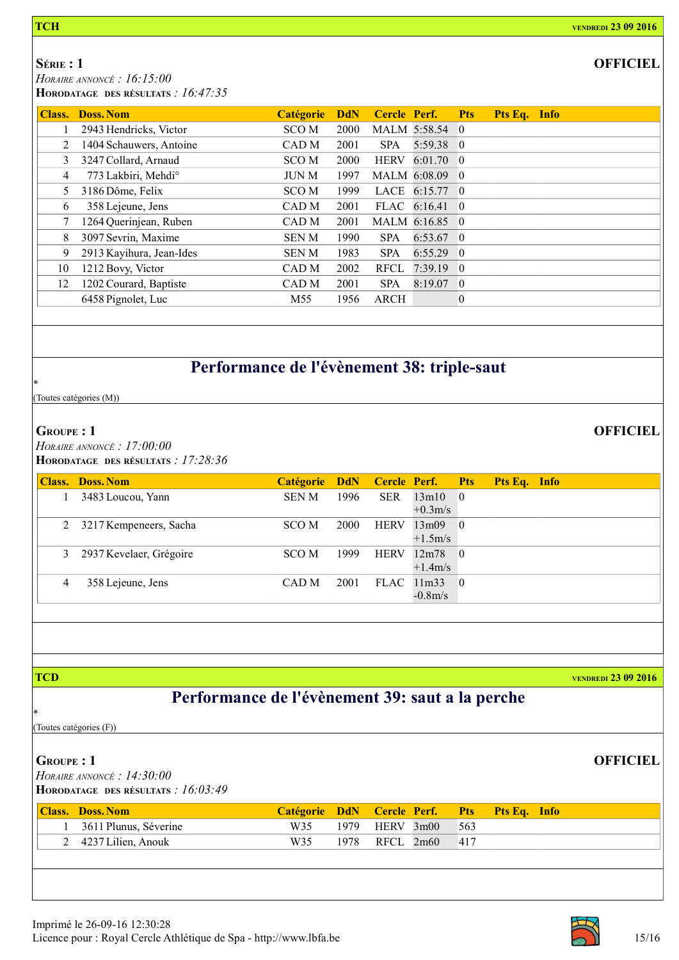#### **TCH**

**OFFICIEL** 

**OFFICIEL** 

**VENDREDI 23 09 2016** 

**OFFICIEL** 

### SÉRIE : 1

HORAIRE ANNONCÉ : 16:15:00 HORODATAGE DES RÉSULTATS : 16:47:35

| <b>Class.</b>  | Doss, Nom                | <b>Catégorie</b> | <b>DdN</b> | Cercle Perf. |                   | <b>Pts</b> | Pts Eq. Info |  |
|----------------|--------------------------|------------------|------------|--------------|-------------------|------------|--------------|--|
|                |                          |                  |            |              |                   |            |              |  |
|                | 2943 Hendricks, Victor   | <b>SCOM</b>      | 2000       |              | MALM 5:58.54 0    |            |              |  |
| 2              | 1404 Schauwers, Antoine  | CAD M            | 2001       | <b>SPA</b>   | 5:59.38 0         |            |              |  |
| 3              | 3247 Collard, Arnaud     | SCO M            | 2000       | <b>HERV</b>  | $6:01.70$ 0       |            |              |  |
| $\overline{4}$ | 773 Lakbiri, Mehdi°      | JUN M            | 1997       |              | MALM 6:08.09 0    |            |              |  |
| 5              | 3186 Dôme, Felix         | <b>SCOM</b>      | 1999       |              | LACE 6:15.77 0    |            |              |  |
| 6              | 358 Lejeune, Jens        | CAD M            | 2001       | <b>FLAC</b>  | $6:16.41 \quad 0$ |            |              |  |
|                | 1264 Querinjean, Ruben   | CAD M            | 2001       |              | MALM 6:16.85 0    |            |              |  |
| 8              | 3097 Sevrin, Maxime      | <b>SENM</b>      | 1990       | <b>SPA</b>   | $6:53.67$ 0       |            |              |  |
| 9              | 2913 Kayihura, Jean-Ides | <b>SENM</b>      | 1983       | <b>SPA</b>   | $6:55.29$ 0       |            |              |  |
| 10             | 1212 Bovy, Victor        | CAD M            | 2002       | <b>RFCL</b>  | $7:39.19$ 0       |            |              |  |
| 12             | 1202 Courard, Baptiste   | CAD M            | 2001       | <b>SPA</b>   | $8:19.07$ 0       |            |              |  |
|                | 6458 Pignolet, Luc       | M55              | 1956       | <b>ARCH</b>  |                   | 0          |              |  |

# Performance de l'évènement 38: triple-saut

(Toutes catégories (M))

## **GROUPE: 1**

HORAIRE ANNONCÉ : 17:00:00 HORODATAGE DES RÉSULTATS : 17:28:36

|   | <b>Class. Doss. Nom</b>  | Catégorie DdN Cercle Perf. Pts |      |             |                             | Pts Eq. Info |  |
|---|--------------------------|--------------------------------|------|-------------|-----------------------------|--------------|--|
|   | 3483 Loucou, Yann        | <b>SENM</b>                    | 1996 | <b>SER</b>  | $13m10$ 0<br>$+0.3$ m/s     |              |  |
|   | 2 3217 Kempeneers, Sacha | SCO M                          | 2000 | <b>HERV</b> | $13m09$ 0<br>$+1.5m/s$      |              |  |
| 3 | 2937 Kevelaer, Grégoire  | SCO M                          | 1999 | <b>HERV</b> | $12m78$ 0<br>$+1.4m/s$      |              |  |
| 4 | 358 Lejeune, Jens        | CAD M                          | 2001 |             | $FLAC$ 11m33 0<br>$-0.8m/s$ |              |  |

#### **TCD**

# Performance de l'évènement 39: saut a la perche

(Toutes catégories (F))

## **GROUPE: 1**

HORAIRE ANNONCÉ : 14:30:00 HORODATAGE DES RÉSULTATS : 16:03:49

| <b>Class. Doss. Nom</b> | Catégorie DdN Cercle Perf. Pts Pts Eq. Info |                |       |  |
|-------------------------|---------------------------------------------|----------------|-------|--|
| 3611 Plunus, Séverine   | W35                                         | 1979 HERV 3m00 | - 563 |  |
| 2 4237 Lilien, Anouk    | W35.                                        | 1978 RFCL 2m60 | - 417 |  |